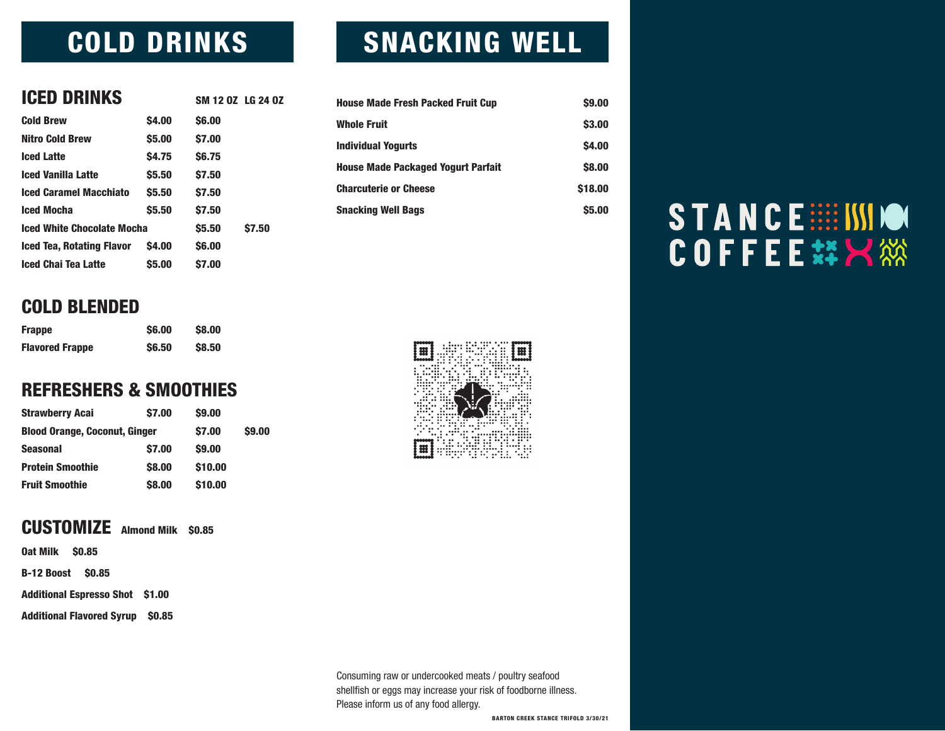### COLD DRINKS

| <b>ICED DRINKS</b>                |               | SM 12 0Z LG 24 0Z |              |
|-----------------------------------|---------------|-------------------|--------------|
|                                   |               |                   |              |
| <b>Cold Brew</b>                  | <b>S4.00</b>  | <b>S6.00</b>      |              |
| <b>Nitro Cold Brew</b>            | <b>S5.00</b>  | \$7.00            |              |
| <b>Iced Latte</b>                 | <b>S4.75</b>  | <b>S6.75</b>      |              |
| <b>Iced Vanilla Latte</b>         | <b>S5.50</b>  | <b>S7.50</b>      |              |
| <b>Iced Caramel Macchiato</b>     | <b>S5.50</b>  | <b>S7.50</b>      |              |
| <b>Iced Mocha</b>                 | <b>\$5.50</b> | <b>S7.50</b>      |              |
| <b>Iced White Chocolate Mocha</b> |               | <b>S5.50</b>      | <b>S7.50</b> |
| <b>Iced Tea, Rotating Flavor</b>  | <b>S4.00</b>  | <b>S6.00</b>      |              |
| <b>Iced Chai Tea Latte</b>        | <b>S5.00</b>  | <b>S7.00</b>      |              |
|                                   |               |                   |              |

### COLD BLENDED

| <b>Frappe</b>          | <b>S6.00</b> | <b>S8.00</b>  |
|------------------------|--------------|---------------|
| <b>Flavored Frappe</b> | <b>S6.50</b> | <b>\$8.50</b> |

#### REFRESHERS & SMOOTHIES

| <b>Strawberry Acai</b>               | <b>\$7.00</b> | <b>\$9.00</b> |               |
|--------------------------------------|---------------|---------------|---------------|
| <b>Blood Orange, Coconut, Ginger</b> |               | <b>\$7.00</b> | <b>\$9.00</b> |
| <b>Seasonal</b>                      | <b>\$7.00</b> | <b>\$9.00</b> |               |
| <b>Protein Smoothie</b>              | \$8,00        | \$10.00       |               |
| <b>Fruit Smoothie</b>                | \$8,00        | \$10.00       |               |

#### CUSTOMIZE Almond Milk \$0.85

Oat Milk \$0.85

B-12 Boost \$0.85

Additional Espresso Shot \$1.00

Additional Flavored Syrup \$0.85

### SNACKING WELL

| <b>House Made Fresh Packed Fruit Cup</b>  | <b>S9.00</b>  |
|-------------------------------------------|---------------|
| <b>Whole Fruit</b>                        | \$3.00        |
| <b>Individual Yogurts</b>                 | <b>\$4.00</b> |
| <b>House Made Packaged Yogurt Parfait</b> | <b>S8.00</b>  |
| <b>Charcuterie or Cheese</b>              | \$18.00       |
| <b>Snacking Well Bags</b>                 | \$5.00        |



#### Consuming raw or undercooked meats / poultry seafood shellfish or eggs may increase your risk of foodborne illness. Please inform us of any food allergy.

BARTON CREEK STANCE TRIFOLD 3/30/21

# STANCE :::: ISSION **COFFEE#X** 然